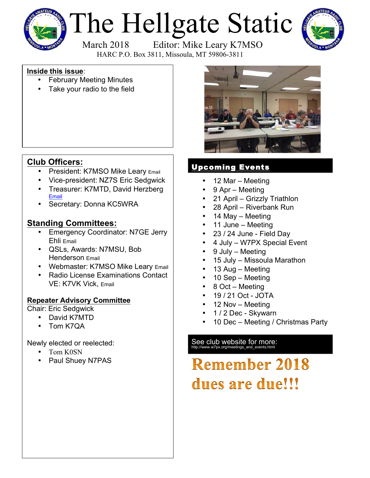

# The Hellgate Static March 2018 Editor: Mike Leary K7MSO



HARC P.O. Box 3811, Missoula, MT 59806-3811

**Inside this issue**:

- February Meeting Minutes
- Take your radio to the field



## **Club Officers:**

- President: K7MSO Mike Leary Email
- Vice-president: NZ7S Eric Sedgwick
- Treasurer: K7MTD, David Herzberg Email
- Secretary: Donna KC5WRA

### **Standing Committees:**

- Emergency Coordinator: N7GE Jerry Ehli Email
- QSLs, Awards: N7MSU, Bob Henderson Email
- Webmaster: K7MSO Mike Leary Email
- Radio License Examinations Contact VE: K7VK Vick, Email

#### **Repeater Advisory Committee**

Chair: Eric Sedgwick

- David K7MTD
- Tom K7QA

Newly elected or reelected:

- Tom K0SN
- Paul Shuey N7PAS

# Upcoming Events

- 12 Mar Meeting
- 9 Apr Meeting
- 21 April Grizzly Triathlon
- 28 April Riverbank Run
- 14 May Meeting
- 11 June Meeting
- 23 / 24 June Field Day
- 4 July W7PX Special Event
- 9 July Meeting
- 15 July Missoula Marathon
- 13 Aug Meeting
- 10 Sep Meeting
- 8 Oct Meeting
- 19 / 21 Oct JOTA
- 12 Nov Meeting
- 1 / 2 Dec Skywarn
- 10 Dec Meeting / Christmas Party

See club website for more:<br>http://www.w7px.org/meetings\_and\_events.html

# **Remember 2018** dues are due!!!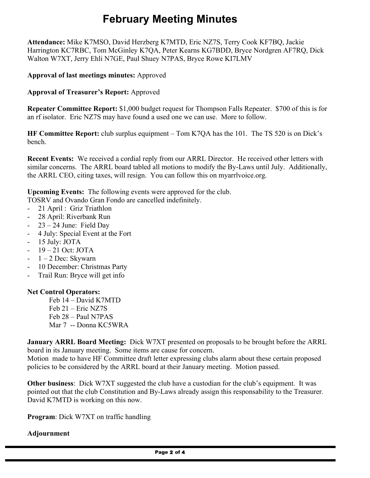# **February Meeting Minutes**

**Attendance:** Mike K7MSO, David Herzberg K7MTD, Eric NZ7S, Terry Cook KF7BQ, Jackie Harrington KC7RBC, Tom McGinley K7QA, Peter Kearns KG7BDD, Bryce Nordgren AF7RQ, Dick Walton W7XT, Jerry Ehli N7GE, Paul Shuey N7PAS, Bryce Rowe KI7LMV

#### **Approval of last meetings minutes:** Approved

**Approval of Treasurer's Report:** Approved

**Repeater Committee Report:** \$1,000 budget request for Thompson Falls Repeater. \$700 of this is for an rf isolator. Eric NZ7S may have found a used one we can use. More to follow.

**HF Committee Report:** club surplus equipment – Tom K7QA has the 101. The TS 520 is on Dick's bench.

**Recent Events:** We received a cordial reply from our ARRL Director. He received other letters with similar concerns. The ARRL board tabled all motions to modify the By-Laws until July. Additionally, the ARRL CEO, citing taxes, will resign. You can follow this on myarrlvoice.org.

**Upcoming Events:** The following events were approved for the club.

TOSRV and Ovando Gran Fondo are cancelled indefinitely.

- 21 April : Griz Triathlon
- 28 April: Riverbank Run
- $23 24$  June: Field Day
- 4 July: Special Event at the Fort
- 15 July: JOTA
- $-19-21$  Oct: JOTA
- $-1 2$  Dec: Skywarn
- 10 December: Christmas Party
- Trail Run: Bryce will get info

#### **Net Control Operators:**

Feb 14 – David K7MTD Feb 21 – Eric NZ7S Feb 28 – Paul N7PAS Mar 7 -- Donna KC5WRA

**January ARRL Board Meeting:** Dick W7XT presented on proposals to be brought before the ARRL board in its January meeting. Some items are cause for concern.

Motion made to have HF Committee draft letter expressing clubs alarm about these certain proposed policies to be considered by the ARRL board at their January meeting. Motion passed.

**Other business**: Dick W7XT suggested the club have a custodian for the club's equipment. It was pointed out that the club Constitution and By-Laws already assign this responsability to the Treasurer. David K7MTD is working on this now.

**Program**: Dick W7XT on traffic handling

#### **Adjournment**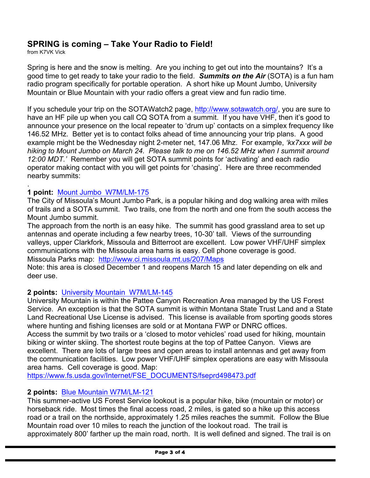#### **SPRING is coming – Take Your Radio to Field!**

from K7VK Vick

.

Spring is here and the snow is melting. Are you inching to get out into the mountains? It's a good time to get ready to take your radio to the field. *Summits on the Air* (SOTA) is a fun ham radio program specifically for portable operation. A short hike up Mount Jumbo, University Mountain or Blue Mountain with your radio offers a great view and fun radio time.

If you schedule your trip on the SOTAWatch2 page, http://www.sotawatch.org/, you are sure to have an HF pile up when you call CQ SOTA from a summit. If you have VHF, then it's good to announce your presence on the local repeater to 'drum up' contacts on a simplex frequency like 146.52 MHz. Better yet is to contact folks ahead of time announcing your trip plans. A good example might be the Wednesday night 2-meter net, 147.06 Mhz. For example, *'kx7xxx will be hiking to Mount Jumbo on March 24. Please talk to me on 146.52 MHz when I summit around 12:00 MDT.'* Remember you will get SOTA summit points for 'activating' and each radio operator making contact with you will get points for 'chasing'. Here are three recommended nearby summits:

#### **1 point:** Mount Jumbo W7M/LM-175

The City of Missoula's Mount Jumbo Park, is a popular hiking and dog walking area with miles of trails and a SOTA summit. Two trails, one from the north and one from the south access the Mount Jumbo summit.

The approach from the north is an easy hike. The summit has good grassland area to set up antennas and operate including a few nearby trees, 10-30' tall. Views of the surrounding valleys, upper Clarkfork, Missoula and Bitterroot are excellent. Low power VHF/UHF simplex communications with the Missoula area hams is easy. Cell phone coverage is good. Missoula Parks map: http://www.ci.missoula.mt.us/207/Maps

Note: this area is closed December 1 and reopens March 15 and later depending on elk and deer use.

#### **2 points:** University Mountain W7M/LM-145

University Mountain is within the Pattee Canyon Recreation Area managed by the US Forest Service. An exception is that the SOTA summit is within Montana State Trust Land and a State Land Recreational Use License is advised. This license is available from sporting goods stores where hunting and fishing licenses are sold or at Montana FWP or DNRC offices.

Access the summit by two trails or a 'closed to motor vehicles' road used for hiking, mountain biking or winter skiing. The shortest route begins at the top of Pattee Canyon. Views are excellent. There are lots of large trees and open areas to install antennas and get away from the communication facilities. Low power VHF/UHF simplex operations are easy with Missoula area hams. Cell coverage is good. Map:

https://www.fs.usda.gov/Internet/FSE\_DOCUMENTS/fseprd498473.pdf

#### **2 points:** Blue Mountain W7M/LM-121

This summer-active US Forest Service lookout is a popular hike, bike (mountain or motor) or horseback ride. Most times the final access road, 2 miles, is gated so a hike up this access road or a trail on the northside, approximately 1.25 miles reaches the summit. Follow the Blue Mountain road over 10 miles to reach the junction of the lookout road. The trail is approximately 800' farther up the main road, north. It is well defined and signed. The trail is on